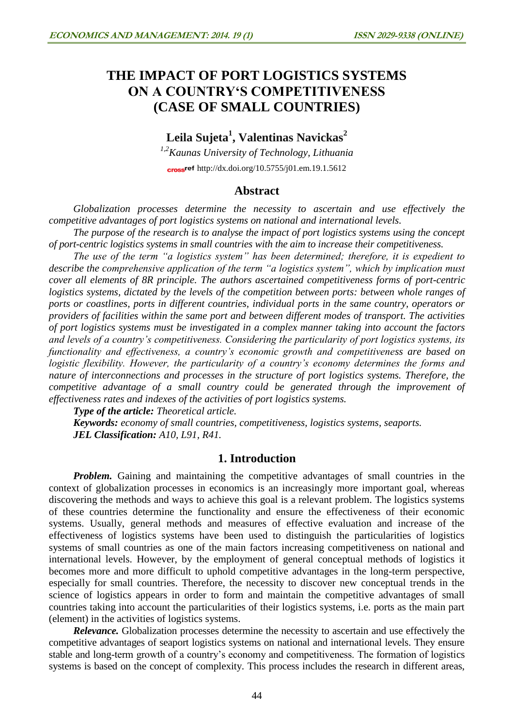# **THE IMPACT OF PORT LOGISTICS SYSTEMS ON A COUNTRY'S COMPETITIVENESS (CASE OF SMALL COUNTRIES)**

## **Leila Sujeta<sup>1</sup> , Valentinas Navickas<sup>2</sup>**

*1,2Kaunas University of Technology, Lithuania* cross<sup>ref</sup> <http://dx.doi.org/10.5755/j01.em.19.1.5612>

## **Abstract**

*Globalization processes determine the necessity to ascertain and use effectively the competitive advantages of port logistics systems on national and international levels.* 

*The purpose of the research is to analyse the impact of port logistics systems using the concept of port-centric logistics systems in small countries with the aim to increase their competitiveness.*

*The use of the term "a logistics system" has been determined; therefore, it is expedient to describe the comprehensive application of the term "a logistics system", which by implication must cover all elements of 8R principle. The authors ascertained competitiveness forms of port-centric logistics systems, dictated by the levels of the competition between ports: between whole ranges of ports or coastlines, ports in different countries, individual ports in the same country, operators or providers of facilities within the same port and between different modes of transport. The activities of port logistics systems must be investigated in a complex manner taking into account the factors and levels of a country's competitiveness. Considering the particularity of port logistics systems, its functionality and effectiveness, a country's economic growth and competitiveness are based on logistic flexibility. However, the particularity of a country's economy determines the forms and nature of interconnections and processes in the structure of port logistics systems. Therefore, the competitive advantage of a small country could be generated through the improvement of effectiveness rates and indexes of the activities of port logistics systems.*

*Type of the article: Theoretical article.*

*Keywords: economy of small countries, competitiveness, logistics systems, seaports. JEL Classification: A10, L91, R41.*

## **1. Introduction**

*Problem.* Gaining and maintaining the competitive advantages of small countries in the context of globalization processes in economics is an increasingly more important goal, whereas discovering the methods and ways to achieve this goal is a relevant problem. The logistics systems of these countries determine the functionality and ensure the effectiveness of their economic systems. Usually, general methods and measures of effective evaluation and increase of the effectiveness of logistics systems have been used to distinguish the particularities of logistics systems of small countries as one of the main factors increasing competitiveness on national and international levels. However, by the employment of general conceptual methods of logistics it becomes more and more difficult to uphold competitive advantages in the long-term perspective, especially for small countries. Therefore, the necessity to discover new conceptual trends in the science of logistics appears in order to form and maintain the competitive advantages of small countries taking into account the particularities of their logistics systems, i.e. ports as the main part (element) in the activities of logistics systems.

*Relevance*. Globalization processes determine the necessity to ascertain and use effectively the competitive advantages of seaport logistics systems on national and international levels. They ensure stable and long-term growth of a country's economy and competitiveness. The formation of logistics systems is based on the concept of complexity. This process includes the research in different areas,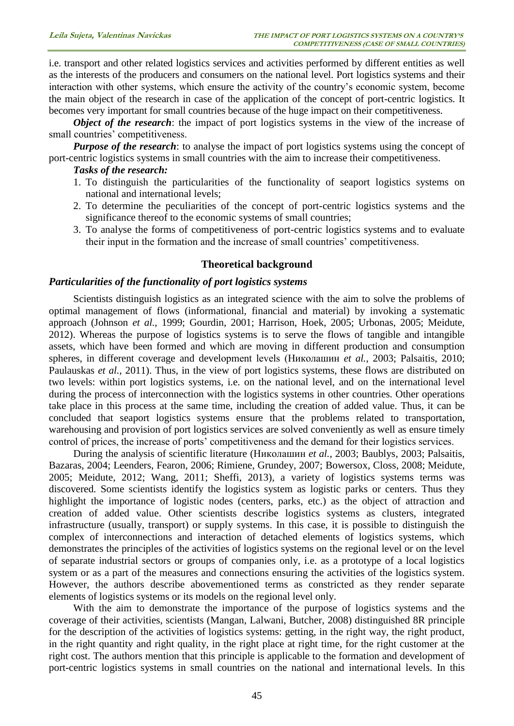i.e. transport and other related logistics services and activities performed by different entities as well as the interests of the producers and consumers on the national level. Port logistics systems and their interaction with other systems, which ensure the activity of the country's economic system, become the main object of the research in case of the application of the concept of port-centric logistics. It becomes very important for small countries because of the huge impact on their competitiveness.

*Object of the research*: the impact of port logistics systems in the view of the increase of small countries' competitiveness.

**Purpose of the research**: to analyse the impact of port logistics systems using the concept of port-centric logistics systems in small countries with the aim to increase their competitiveness.

#### *Tasks of the research:*

- 1. To distinguish the particularities of the functionality of seaport logistics systems on national and international levels;
- 2. To determine the peculiarities of the concept of port-centric logistics systems and the significance thereof to the economic systems of small countries;
- 3. To analyse the forms of competitiveness of port-centric logistics systems and to evaluate their input in the formation and the increase of small countries' competitiveness.

### **Theoretical background**

### *Particularities of the functionality of port logistics systems*

Scientists distinguish logistics as an integrated science with the aim to solve the problems of optimal management of flows (informational, financial and material) by invoking a systematic approach (Johnson *et al.*, 1999; Gourdin, 2001; Harrison, Hoek, 2005; Urbonas, 2005; Meidute, 2012). Whereas the purpose of logistics systems is to serve the flows of tangible and intangible assets, which have been formed and which are moving in different production and consumption spheres, in different coverage and development levels (Николашин *et al.*, 2003; Palsaitis, 2010; Paulauskas *et al.*, 2011). Thus, in the view of port logistics systems, these flows are distributed on two levels: within port logistics systems, i.e. on the national level, and on the international level during the process of interconnection with the logistics systems in other countries. Other operations take place in this process at the same time, including the creation of added value. Thus, it can be concluded that seaport logistics systems ensure that the problems related to transportation, warehousing and provision of port logistics services are solved conveniently as well as ensure timely control of prices, the increase of ports' competitiveness and the demand for their logistics services.

During the analysis of scientific literature (Николашин *et al.*, 2003; Baublys, 2003; Palsaitis, Bazaras, 2004; Leenders, Fearon, 2006; Rimiene, Grundey, 2007; Bowersox, Closs, 2008; Meidute, 2005; Meidute, 2012; Wang, 2011; Sheffi, 2013), a variety of logistics systems terms was discovered. Some scientists identify the logistics system as logistic parks or centers. Thus they highlight the importance of logistic nodes (centers, parks, etc.) as the object of attraction and creation of added value. Other scientists describe logistics systems as clusters, integrated infrastructure (usually, transport) or supply systems. In this case, it is possible to distinguish the complex of interconnections and interaction of detached elements of logistics systems, which demonstrates the principles of the activities of logistics systems on the regional level or on the level of separate industrial sectors or groups of companies only, i.e. as a prototype of a local logistics system or as a part of the measures and connections ensuring the activities of the logistics system. However, the authors describe abovementioned terms as constricted as they render separate elements of logistics systems or its models on the regional level only.

With the aim to demonstrate the importance of the purpose of logistics systems and the coverage of their activities, scientists (Mangan, Lalwani, Butcher, 2008) distinguished 8R principle for the description of the activities of logistics systems: getting, in the right way, the right product, in the right quantity and right quality, in the right place at right time, for the right customer at the right cost. The authors mention that this principle is applicable to the formation and development of port-centric logistics systems in small countries on the national and international levels. In this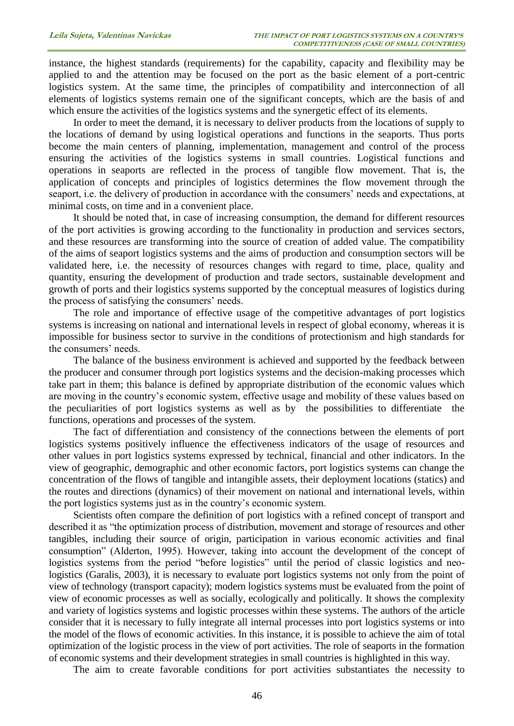instance, the highest standards (requirements) for the capability, capacity and flexibility may be applied to and the attention may be focused on the port as the basic element of a port-centric logistics system. At the same time, the principles of compatibility and interconnection of all elements of logistics systems remain one of the significant concepts, which are the basis of and which ensure the activities of the logistics systems and the synergetic effect of its elements.

In order to meet the demand, it is necessary to deliver products from the locations of supply to the locations of demand by using logistical operations and functions in the seaports. Thus ports become the main centers of planning, implementation, management and control of the process ensuring the activities of the logistics systems in small countries. Logistical functions and operations in seaports are reflected in the process of tangible flow movement. That is, the application of concepts and principles of logistics determines the flow movement through the seaport, i.e. the delivery of production in accordance with the consumers' needs and expectations, at minimal costs, on time and in a convenient place.

It should be noted that, in case of increasing consumption, the demand for different resources of the port activities is growing according to the functionality in production and services sectors, and these resources are transforming into the source of creation of added value. The compatibility of the aims of seaport logistics systems and the aims of production and consumption sectors will be validated here, i.e. the necessity of resources changes with regard to time, place, quality and quantity, ensuring the development of production and trade sectors, sustainable development and growth of ports and their logistics systems supported by the conceptual measures of logistics during the process of satisfying the consumers' needs.

The role and importance of effective usage of the competitive advantages of port logistics systems is increasing on national and international levels in respect of global economy, whereas it is impossible for business sector to survive in the conditions of protectionism and high standards for the consumers' needs.

The balance of the business environment is achieved and supported by the feedback between the producer and consumer through port logistics systems and the decision-making processes which take part in them; this balance is defined by appropriate distribution of the economic values which are moving in the country's economic system, effective usage and mobility of these values based on the peculiarities of port logistics systems as well as by the possibilities to differentiate the functions, operations and processes of the system.

The fact of differentiation and consistency of the connections between the elements of port logistics systems positively influence the effectiveness indicators of the usage of resources and other values in port logistics systems expressed by technical, financial and other indicators. In the view of geographic, demographic and other economic factors, port logistics systems can change the concentration of the flows of tangible and intangible assets, their deployment locations (statics) and the routes and directions (dynamics) of their movement on national and international levels, within the port logistics systems just as in the country's economic system.

Scientists often compare the definition of port logistics with a refined concept of transport and described it as "the optimization process of distribution, movement and storage of resources and other tangibles, including their source of origin, participation in various economic activities and final consumption" (Alderton, 1995). However, taking into account the development of the concept of logistics systems from the period "before logistics" until the period of classic logistics and neologistics (Garalis, 2003), it is necessary to evaluate port logistics systems not only from the point of view of technology (transport capacity); modern logistics systems must be evaluated from the point of view of economic processes as well as socially, ecologically and politically. It shows the complexity and variety of logistics systems and logistic processes within these systems. The authors of the article consider that it is necessary to fully integrate all internal processes into port logistics systems or into the model of the flows of economic activities. In this instance, it is possible to achieve the aim of total optimization of the logistic process in the view of port activities. The role of seaports in the formation of economic systems and their development strategies in small countries is highlighted in this way.

The aim to create favorable conditions for port activities substantiates the necessity to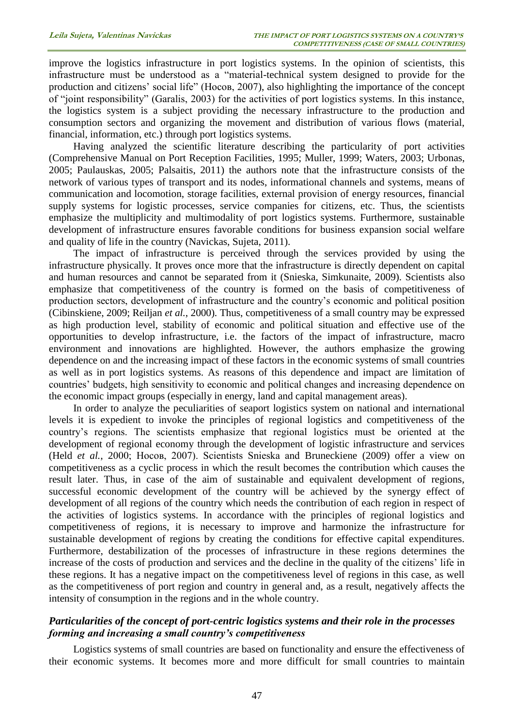improve the logistics infrastructure in port logistics systems. In the opinion of scientists, this infrastructure must be understood as a "material-technical system designed to provide for the production and citizens' social life" (Носов, 2007), also highlighting the importance of the concept of "joint responsibility" (Garalis, 2003) for the activities of port logistics systems. In this instance, the logistics system is a subject providing the necessary infrastructure to the production and consumption sectors and organizing the movement and distribution of various flows (material, financial, information, etc.) through port logistics systems.

Having analyzed the scientific literature describing the particularity of port activities (Comprehensive Manual on Port Reception Facilities, 1995; Muller, 1999; Waters, 2003; Urbonas, 2005; Paulauskas, 2005; Palsaitis, 2011) the authors note that the infrastructure consists of the network of various types of transport and its nodes, informational channels and systems, means of communication and locomotion, storage facilities, external provision of energy resources, financial supply systems for logistic processes, service companies for citizens, etc. Thus, the scientists emphasize the multiplicity and multimodality of port logistics systems. Furthermore, sustainable development of infrastructure ensures favorable conditions for business expansion social welfare and quality of life in the country (Navickas, Sujeta, 2011).

The impact of infrastructure is perceived through the services provided by using the infrastructure physically. It proves once more that the infrastructure is directly dependent on capital and human resources and cannot be separated from it (Snieska, Simkunaite, 2009). Scientists also emphasize that competitiveness of the country is formed on the basis of competitiveness of production sectors, development of infrastructure and the country's economic and political position (Cibinskiene, 2009; Reiljan *et al.*, 2000). Thus, competitiveness of a small country may be expressed as high production level, stability of economic and political situation and effective use of the opportunities to develop infrastructure, i.e. the factors of the impact of infrastructure, macro environment and innovations are highlighted. However, the authors emphasize the growing dependence on and the increasing impact of these factors in the economic systems of small countries as well as in port logistics systems. As reasons of this dependence and impact are limitation of countries' budgets, high sensitivity to economic and political changes and increasing dependence on the economic impact groups (especially in energy, land and capital management areas).

In order to analyze the peculiarities of seaport logistics system on national and international levels it is expedient to invoke the principles of regional logistics and competitiveness of the country's regions. The scientists emphasize that regional logistics must be oriented at the development of regional economy through the development of logistic infrastructure and services (Held *et al.*, 2000; Носов, 2007). Scientists Snieska and Bruneckiene (2009) offer a view on competitiveness as a cyclic process in which the result becomes the contribution which causes the result later. Thus, in case of the aim of sustainable and equivalent development of regions, successful economic development of the country will be achieved by the synergy effect of development of all regions of the country which needs the contribution of each region in respect of the activities of logistics systems. In accordance with the principles of regional logistics and competitiveness of regions, it is necessary to improve and harmonize the infrastructure for sustainable development of regions by creating the conditions for effective capital expenditures. Furthermore, destabilization of the processes of infrastructure in these regions determines the increase of the costs of production and services and the decline in the quality of the citizens' life in these regions. It has a negative impact on the competitiveness level of regions in this case, as well as the competitiveness of port region and country in general and, as a result, negatively affects the intensity of consumption in the regions and in the whole country.

## *Particularities of the concept of port-centric logistics systems and their role in the processes forming and increasing a small country's competitiveness*

Logistics systems of small countries are based on functionality and ensure the effectiveness of their economic systems. It becomes more and more difficult for small countries to maintain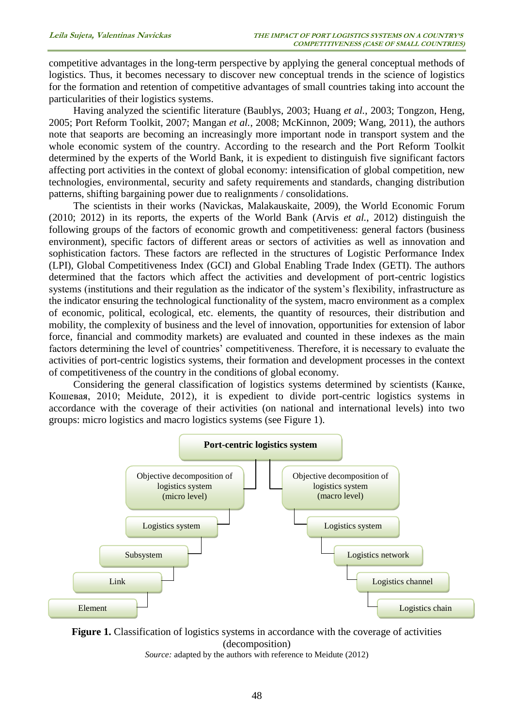competitive advantages in the long-term perspective by applying the general conceptual methods of logistics. Thus, it becomes necessary to discover new conceptual trends in the science of logistics for the formation and retention of competitive advantages of small countries taking into account the particularities of their logistics systems.

Having analyzed the scientific literature (Baublys, 2003; Huang *et al.*, 2003; Tongzon, Heng, 2005; Port Reform Toolkit, 2007; Mangan *et al.*, 2008; McKinnon, 2009; Wang, 2011), the authors note that seaports are becoming an increasingly more important node in transport system and the whole economic system of the country. According to the research and the Port Reform Toolkit determined by the experts of the World Bank, it is expedient to distinguish five significant factors affecting port activities in the context of global economy: intensification of global competition, new technologies, environmental, security and safety requirements and standards, changing distribution patterns, shifting bargaining power due to realignments / consolidations.

The scientists in their works (Navickas, Malakauskaite, 2009), the World Economic Forum (2010; 2012) in its reports, the experts of the World Bank (Arvis *et al.*, 2012) distinguish the following groups of the factors of economic growth and competitiveness: general factors (business environment), specific factors of different areas or sectors of activities as well as innovation and sophistication factors. These factors are reflected in the structures of Logistic Performance Index (LPI), Global Competitiveness Index (GCI) and Global Enabling Trade Index (GETI). The authors determined that the factors which affect the activities and development of port-centric logistics systems (institutions and their regulation as the indicator of the system's flexibility, infrastructure as the indicator ensuring the technological functionality of the system, macro environment as a complex of economic, political, ecological, etc. elements, the quantity of resources, their distribution and mobility, the complexity of business and the level of innovation, opportunities for extension of labor force, financial and commodity markets) are evaluated and counted in these indexes as the main factors determining the level of countries' competitiveness. Therefore, it is necessary to evaluate the activities of port-centric logistics systems, their formation and development processes in the context of competitiveness of the country in the conditions of global economy.

Considering the general classification of logistics systems determined by scientists (Канке, Кошевая, 2010; Meidute, 2012), it is expedient to divide port-centric logistics systems in accordance with the coverage of their activities (on national and international levels) into two groups: micro logistics and macro logistics systems (see Figure 1).



**Figure 1.** Classification of logistics systems in accordance with the coverage of activities (decomposition) *Source:* adapted by the authors with reference to Meidute (2012)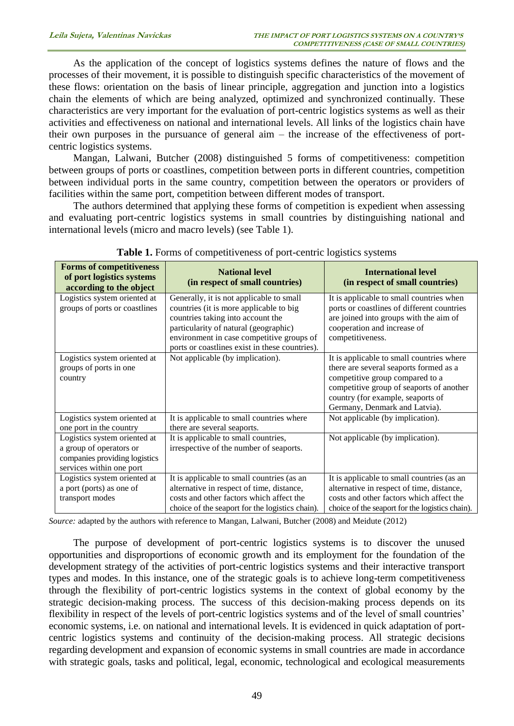As the application of the concept of logistics systems defines the nature of flows and the processes of their movement, it is possible to distinguish specific characteristics of the movement of these flows: orientation on the basis of linear principle, aggregation and junction into a logistics chain the elements of which are being analyzed, optimized and synchronized continually. These characteristics are very important for the evaluation of port-centric logistics systems as well as their activities and effectiveness on national and international levels. All links of the logistics chain have their own purposes in the pursuance of general aim – the increase of the effectiveness of portcentric logistics systems.

Mangan, Lalwani, Butcher (2008) distinguished 5 forms of competitiveness: competition between groups of ports or coastlines, competition between ports in different countries, competition between individual ports in the same country, competition between the operators or providers of facilities within the same port, competition between different modes of transport.

The authors determined that applying these forms of competition is expedient when assessing and evaluating port-centric logistics systems in small countries by distinguishing national and international levels (micro and macro levels) (see Table 1).

| <b>Forms of competitiveness</b><br>of port logistics systems<br>according to the object                              | <b>National level</b><br>(in respect of small countries)                                                                                                                                                                                                         | <b>International level</b><br>(in respect of small countries)                                                                                                                                                                            |
|----------------------------------------------------------------------------------------------------------------------|------------------------------------------------------------------------------------------------------------------------------------------------------------------------------------------------------------------------------------------------------------------|------------------------------------------------------------------------------------------------------------------------------------------------------------------------------------------------------------------------------------------|
| Logistics system oriented at<br>groups of ports or coastlines                                                        | Generally, it is not applicable to small<br>countries (it is more applicable to big<br>countries taking into account the<br>particularity of natural (geographic)<br>environment in case competitive groups of<br>ports or coastlines exist in these countries). | It is applicable to small countries when<br>ports or coastlines of different countries<br>are joined into groups with the aim of<br>cooperation and increase of<br>competitiveness.                                                      |
| Logistics system oriented at<br>groups of ports in one<br>country                                                    | Not applicable (by implication).                                                                                                                                                                                                                                 | It is applicable to small countries where<br>there are several seaports formed as a<br>competitive group compared to a<br>competitive group of seaports of another<br>country (for example, seaports of<br>Germany, Denmark and Latvia). |
| Logistics system oriented at<br>one port in the country                                                              | It is applicable to small countries where<br>there are several seaports.                                                                                                                                                                                         | Not applicable (by implication).                                                                                                                                                                                                         |
| Logistics system oriented at<br>a group of operators or<br>companies providing logistics<br>services within one port | It is applicable to small countries,<br>irrespective of the number of seaports.                                                                                                                                                                                  | Not applicable (by implication).                                                                                                                                                                                                         |
| Logistics system oriented at<br>a port (ports) as one of<br>transport modes                                          | It is applicable to small countries (as an<br>alternative in respect of time, distance,<br>costs and other factors which affect the<br>choice of the seaport for the logistics chain).                                                                           | It is applicable to small countries (as an<br>alternative in respect of time, distance,<br>costs and other factors which affect the<br>choice of the seaport for the logistics chain).                                                   |

Table 1. Forms of competitiveness of port-centric logistics systems

*Source:* adapted by the authors with reference to Mangan, Lalwani, Butcher (2008) and Meidute (2012)

The purpose of development of port-centric logistics systems is to discover the unused opportunities and disproportions of economic growth and its employment for the foundation of the development strategy of the activities of port-centric logistics systems and their interactive transport types and modes. In this instance, one of the strategic goals is to achieve long-term competitiveness through the flexibility of port-centric logistics systems in the context of global economy by the strategic decision-making process. The success of this decision-making process depends on its flexibility in respect of the levels of port-centric logistics systems and of the level of small countries' economic systems, i.e. on national and international levels. It is evidenced in quick adaptation of portcentric logistics systems and continuity of the decision-making process. All strategic decisions regarding development and expansion of economic systems in small countries are made in accordance with strategic goals, tasks and political, legal, economic, technological and ecological measurements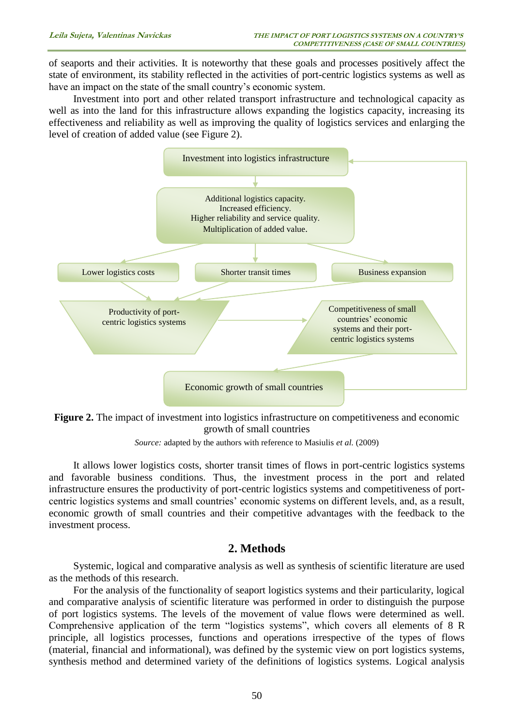of seaports and their activities. It is noteworthy that these goals and processes positively affect the state of environment, its stability reflected in the activities of port-centric logistics systems as well as have an impact on the state of the small country's economic system.

Investment into port and other related transport infrastructure and technological capacity as well as into the land for this infrastructure allows expanding the logistics capacity, increasing its effectiveness and reliability as well as improving the quality of logistics services and enlarging the level of creation of added value (see Figure 2).





*Source:* adapted by the authors with reference to Masiulis *et al.* (2009)

It allows lower logistics costs, shorter transit times of flows in port-centric logistics systems and favorable business conditions. Thus, the investment process in the port and related infrastructure ensures the productivity of port-centric logistics systems and competitiveness of portcentric logistics systems and small countries' economic systems on different levels, and, as a result, economic growth of small countries and their competitive advantages with the feedback to the investment process.

## **2. Methods**

Systemic, logical and comparative analysis as well as synthesis of scientific literature are used as the methods of this research.

For the analysis of the functionality of seaport logistics systems and their particularity, logical and comparative analysis of scientific literature was performed in order to distinguish the purpose of port logistics systems. The levels of the movement of value flows were determined as well. Comprehensive application of the term "logistics systems", which covers all elements of 8 R principle, all logistics processes, functions and operations irrespective of the types of flows (material, financial and informational), was defined by the systemic view on port logistics systems, synthesis method and determined variety of the definitions of logistics systems. Logical analysis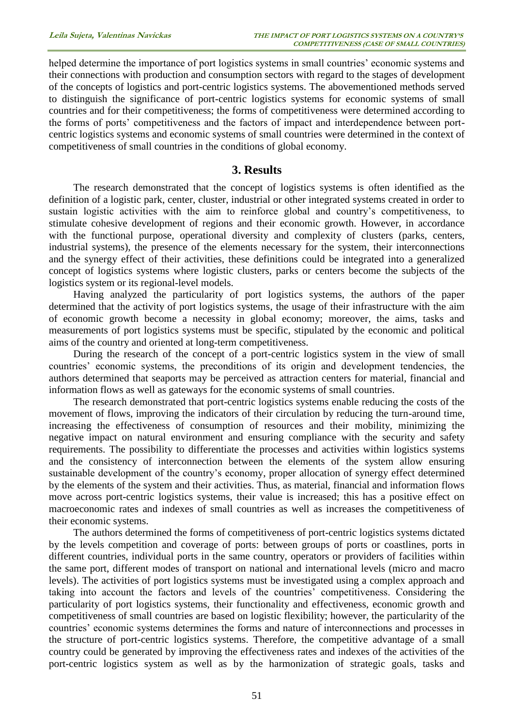helped determine the importance of port logistics systems in small countries' economic systems and their connections with production and consumption sectors with regard to the stages of development of the concepts of logistics and port-centric logistics systems. The abovementioned methods served to distinguish the significance of port-centric logistics systems for economic systems of small countries and for their competitiveness; the forms of competitiveness were determined according to the forms of ports' competitiveness and the factors of impact and interdependence between portcentric logistics systems and economic systems of small countries were determined in the context of competitiveness of small countries in the conditions of global economy.

## **3. Results**

The research demonstrated that the concept of logistics systems is often identified as the definition of a logistic park, center, cluster, industrial or other integrated systems created in order to sustain logistic activities with the aim to reinforce global and country's competitiveness, to stimulate cohesive development of regions and their economic growth. However, in accordance with the functional purpose, operational diversity and complexity of clusters (parks, centers, industrial systems), the presence of the elements necessary for the system, their interconnections and the synergy effect of their activities, these definitions could be integrated into a generalized concept of logistics systems where logistic clusters, parks or centers become the subjects of the logistics system or its regional-level models.

Having analyzed the particularity of port logistics systems, the authors of the paper determined that the activity of port logistics systems, the usage of their infrastructure with the aim of economic growth become a necessity in global economy; moreover, the aims, tasks and measurements of port logistics systems must be specific, stipulated by the economic and political aims of the country and oriented at long-term competitiveness.

During the research of the concept of a port-centric logistics system in the view of small countries' economic systems, the preconditions of its origin and development tendencies, the authors determined that seaports may be perceived as attraction centers for material, financial and information flows as well as gateways for the economic systems of small countries.

The research demonstrated that port-centric logistics systems enable reducing the costs of the movement of flows, improving the indicators of their circulation by reducing the turn-around time, increasing the effectiveness of consumption of resources and their mobility, minimizing the negative impact on natural environment and ensuring compliance with the security and safety requirements. The possibility to differentiate the processes and activities within logistics systems and the consistency of interconnection between the elements of the system allow ensuring sustainable development of the country's economy, proper allocation of synergy effect determined by the elements of the system and their activities. Thus, as material, financial and information flows move across port-centric logistics systems, their value is increased; this has a positive effect on macroeconomic rates and indexes of small countries as well as increases the competitiveness of their economic systems.

The authors determined the forms of competitiveness of port-centric logistics systems dictated by the levels competition and coverage of ports: between groups of ports or coastlines, ports in different countries, individual ports in the same country, operators or providers of facilities within the same port, different modes of transport on national and international levels (micro and macro levels). The activities of port logistics systems must be investigated using a complex approach and taking into account the factors and levels of the countries' competitiveness. Considering the particularity of port logistics systems, their functionality and effectiveness, economic growth and competitiveness of small countries are based on logistic flexibility; however, the particularity of the countries' economic systems determines the forms and nature of interconnections and processes in the structure of port-centric logistics systems. Therefore, the competitive advantage of a small country could be generated by improving the effectiveness rates and indexes of the activities of the port-centric logistics system as well as by the harmonization of strategic goals, tasks and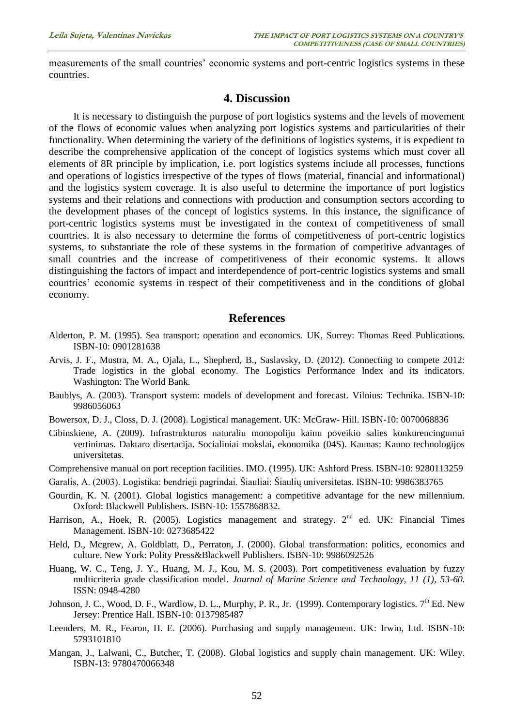measurements of the small countries' economic systems and port-centric logistics systems in these countries.

## **4. Discussion**

It is necessary to distinguish the purpose of port logistics systems and the levels of movement of the flows of economic values when analyzing port logistics systems and particularities of their functionality. When determining the variety of the definitions of logistics systems, it is expedient to describe the comprehensive application of the concept of logistics systems which must cover all elements of 8R principle by implication, i.e. port logistics systems include all processes, functions and operations of logistics irrespective of the types of flows (material, financial and informational) and the logistics system coverage. It is also useful to determine the importance of port logistics systems and their relations and connections with production and consumption sectors according to the development phases of the concept of logistics systems. In this instance, the significance of port-centric logistics systems must be investigated in the context of competitiveness of small countries. It is also necessary to determine the forms of competitiveness of port-centric logistics systems, to substantiate the role of these systems in the formation of competitive advantages of small countries and the increase of competitiveness of their economic systems. It allows distinguishing the factors of impact and interdependence of port-centric logistics systems and small countries' economic systems in respect of their competitiveness and in the conditions of global economy.

## **References**

- Alderton, P. M. (1995). Sea transport: operation and economics*.* UK, Surrey: Thomas Reed Publications. ISBN-10: 0901281638
- Arvis, J. F., Mustra, M. A., Ojala, L., Shepherd, B., Saslavsky, D. (2012). Connecting to compete 2012: Trade logistics in the global economy. The Logistics Performance Index and its indicators. Washington: The World Bank.
- Baublys, A. (2003). Transport system: models of development and forecast. Vilnius: Technika. ISBN-10: 9986056063
- Bowersox, D. J., Closs, D. J. (2008). Logistical management. UK: McGraw- Hill. ISBN-10: 0070068836
- Cibinskiene, A. (2009). Infrastrukturos naturaliu monopoliju kainu poveikio salies konkurencingumui vertinimas. Daktaro disertacija. Socialiniai mokslai, ekonomika (04S). Kaunas: Kauno technologijos universitetas.
- Comprehensive manual on port reception facilities. IMO. (1995). UK: Ashford Press. ISBN-10: 9280113259
- Garalis, A. (2003). Logistika: bendrieji pagrindai. Šiauliai: Šiaulių universitetas. ISBN-10: 9986383765
- Gourdin, K. N. (2001). Global logistics management: a competitive advantage for the new millennium*.* Oxford: Blackwell Publishers. ISBN-10: 1557868832.
- Harrison, A., Hoek, R. (2005). Logistics management and strategy. 2<sup>nd</sup> ed. UK: Financial Times Management. ISBN-10: 0273685422
- Held, D., Mcgrew, A. Goldblatt, D., Perraton, J. (2000). Global transformation: politics, economics and culture. New York: Polity Press&Blackwell Publishers. ISBN-10: 9986092526
- Huang, W. C., Teng, J. Y., Huang, M. J., Kou, M. S. (2003). Port competitiveness evaluation by fuzzy multicriteria grade classification model. *Journal of Marine Science and Technology, 11 (1), 53-60.* ISSN: 0948-4280
- Johnson, J. C., Wood, D. F., Wardlow, D. L., Murphy, P. R., Jr. (1999). Contemporary logistics. 7<sup>th</sup> Ed. New Jersey: Prentice Hall. ISBN-10: 0137985487
- Leenders, M. R., Fearon, H. E. (2006). Purchasing and supply management. UK: Irwin, Ltd. ISBN-10: 5793101810
- Mangan, J., Lalwani, C., Butcher, T. (2008). Global logistics and supply chain management. UK: Wiley. ISBN-13: 9780470066348